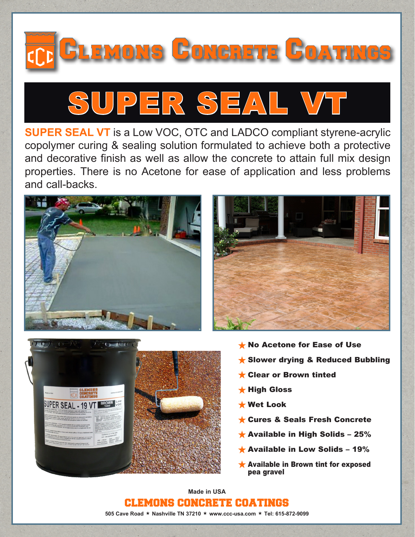



**SUPER SEAL VT** is a Low VOC, OTC and LADCO compliant styrene-acrylic copolymer curing & sealing solution formulated to achieve both a protective and decorative finish as well as allow the concrete to attain full mix design properties. There is no Acetone for ease of application and less problems and call-backs.







- $\bigstar$  No Acetone for Ease of Use
- **★ Slower drying & Reduced Bubbling**
- **Clear or Brown tinted**
- $\bigstar$  High Gloss
- Wet Look
- **★ Cures & Seals Fresh Concrete**
- $\star$  Available in High Solids 25%
- Available in Low Solids  $19\%$
- $\bigstar$  Available in Brown tint for exposed pea gravel

**Made in USA** CLEMONS CONCRETE COATINGS

505 Cave Road  $\star$  Nashville TN 37210  $\star$  www.ccc-usa.com  $\star$  Tel: 615-872-9099